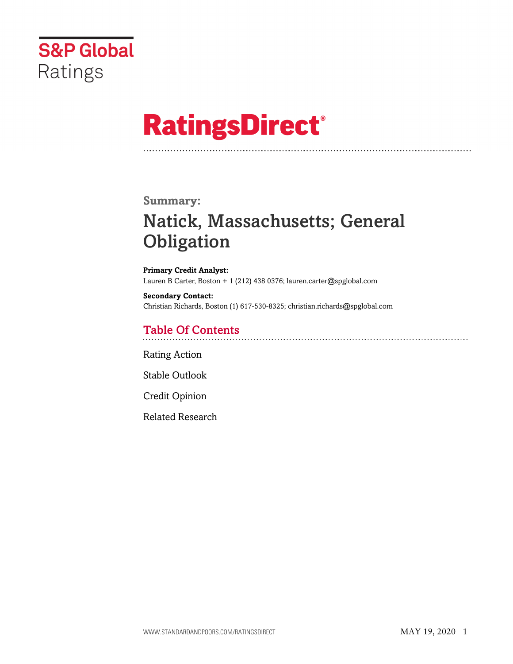

# **RatingsDirect®**

### **Summary:**

# Natick, Massachusetts; General **Obligation**

**Primary Credit Analyst:** Lauren B Carter, Boston + 1 (212) 438 0376; lauren.carter@spglobal.com

**Secondary Contact:** Christian Richards, Boston (1) 617-530-8325; christian.richards@spglobal.com

# Table Of Contents

[Rating Action](#page-1-0)

[Stable Outlook](#page-2-0)

[Credit Opinion](#page-2-1)

[Related Research](#page-6-0)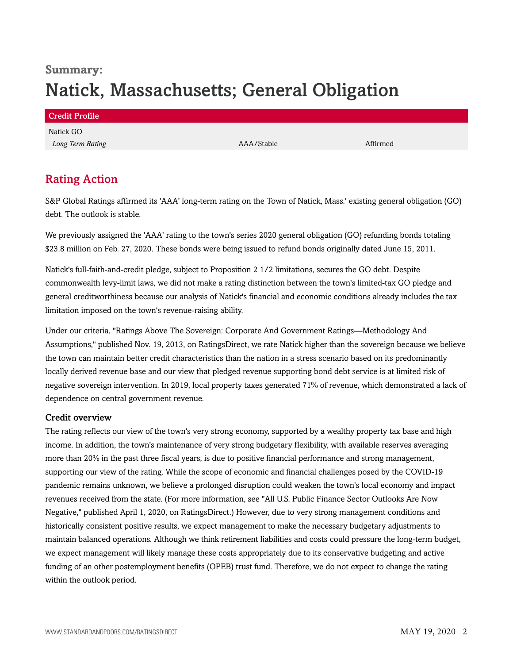# **Summary:** Natick, Massachusetts; General Obligation

| <b>Credit Profile</b> |            |          |  |
|-----------------------|------------|----------|--|
| Natick GO             |            |          |  |
| Long Term Rating      | AAA/Stable | Affirmed |  |
|                       |            |          |  |

# <span id="page-1-0"></span>Rating Action

S&P Global Ratings affirmed its 'AAA' long-term rating on the Town of Natick, Mass.' existing general obligation (GO) debt. The outlook is stable.

We previously assigned the 'AAA' rating to the town's series 2020 general obligation (GO) refunding bonds totaling \$23.8 million on Feb. 27, 2020. These bonds were being issued to refund bonds originally dated June 15, 2011.

Natick's full-faith-and-credit pledge, subject to Proposition 2 1/2 limitations, secures the GO debt. Despite commonwealth levy-limit laws, we did not make a rating distinction between the town's limited-tax GO pledge and general creditworthiness because our analysis of Natick's financial and economic conditions already includes the tax limitation imposed on the town's revenue-raising ability.

Under our criteria, "Ratings Above The Sovereign: Corporate And Government Ratings—Methodology And Assumptions," published Nov. 19, 2013, on RatingsDirect, we rate Natick higher than the sovereign because we believe the town can maintain better credit characteristics than the nation in a stress scenario based on its predominantly locally derived revenue base and our view that pledged revenue supporting bond debt service is at limited risk of negative sovereign intervention. In 2019, local property taxes generated 71% of revenue, which demonstrated a lack of dependence on central government revenue.

#### Credit overview

The rating reflects our view of the town's very strong economy, supported by a wealthy property tax base and high income. In addition, the town's maintenance of very strong budgetary flexibility, with available reserves averaging more than 20% in the past three fiscal years, is due to positive financial performance and strong management, supporting our view of the rating. While the scope of economic and financial challenges posed by the COVID-19 pandemic remains unknown, we believe a prolonged disruption could weaken the town's local economy and impact revenues received from the state. (For more information, see "All U.S. Public Finance Sector Outlooks Are Now Negative," published April 1, 2020, on RatingsDirect.) However, due to very strong management conditions and historically consistent positive results, we expect management to make the necessary budgetary adjustments to maintain balanced operations. Although we think retirement liabilities and costs could pressure the long-term budget, we expect management will likely manage these costs appropriately due to its conservative budgeting and active funding of an other postemployment benefits (OPEB) trust fund. Therefore, we do not expect to change the rating within the outlook period.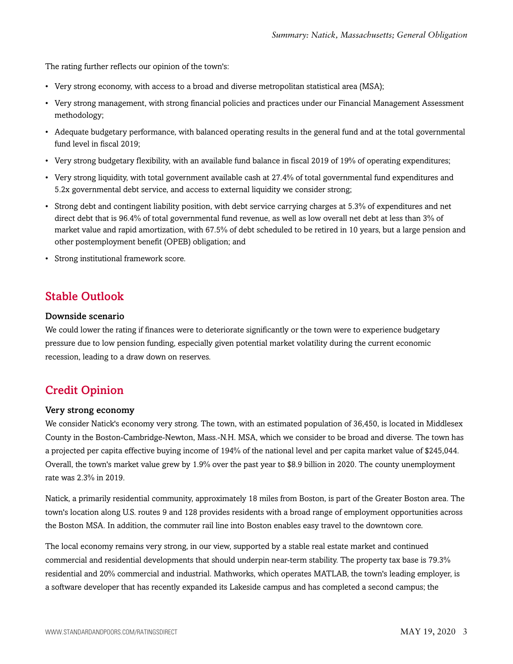The rating further reflects our opinion of the town's:

- Very strong economy, with access to a broad and diverse metropolitan statistical area (MSA);
- Very strong management, with strong financial policies and practices under our Financial Management Assessment methodology;
- Adequate budgetary performance, with balanced operating results in the general fund and at the total governmental fund level in fiscal 2019;
- Very strong budgetary flexibility, with an available fund balance in fiscal 2019 of 19% of operating expenditures;
- Very strong liquidity, with total government available cash at 27.4% of total governmental fund expenditures and 5.2x governmental debt service, and access to external liquidity we consider strong;
- Strong debt and contingent liability position, with debt service carrying charges at 5.3% of expenditures and net direct debt that is 96.4% of total governmental fund revenue, as well as low overall net debt at less than 3% of market value and rapid amortization, with 67.5% of debt scheduled to be retired in 10 years, but a large pension and other postemployment benefit (OPEB) obligation; and
- Strong institutional framework score.

### <span id="page-2-0"></span>Stable Outlook

#### Downside scenario

We could lower the rating if finances were to deteriorate significantly or the town were to experience budgetary pressure due to low pension funding, especially given potential market volatility during the current economic recession, leading to a draw down on reserves.

# <span id="page-2-1"></span>Credit Opinion

#### Very strong economy

We consider Natick's economy very strong. The town, with an estimated population of 36,450, is located in Middlesex County in the Boston-Cambridge-Newton, Mass.-N.H. MSA, which we consider to be broad and diverse. The town has a projected per capita effective buying income of 194% of the national level and per capita market value of \$245,044. Overall, the town's market value grew by 1.9% over the past year to \$8.9 billion in 2020. The county unemployment rate was 2.3% in 2019.

Natick, a primarily residential community, approximately 18 miles from Boston, is part of the Greater Boston area. The town's location along U.S. routes 9 and 128 provides residents with a broad range of employment opportunities across the Boston MSA. In addition, the commuter rail line into Boston enables easy travel to the downtown core.

The local economy remains very strong, in our view, supported by a stable real estate market and continued commercial and residential developments that should underpin near-term stability. The property tax base is 79.3% residential and 20% commercial and industrial. Mathworks, which operates MATLAB, the town's leading employer, is a software developer that has recently expanded its Lakeside campus and has completed a second campus; the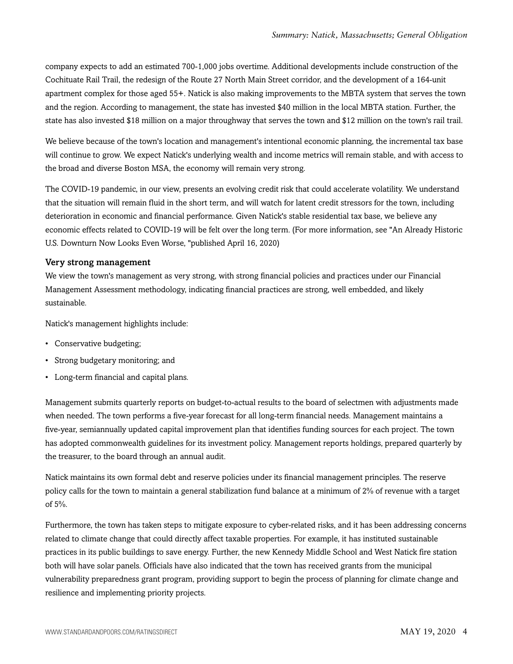company expects to add an estimated 700-1,000 jobs overtime. Additional developments include construction of the Cochituate Rail Trail, the redesign of the Route 27 North Main Street corridor, and the development of a 164-unit apartment complex for those aged 55+. Natick is also making improvements to the MBTA system that serves the town and the region. According to management, the state has invested \$40 million in the local MBTA station. Further, the state has also invested \$18 million on a major throughway that serves the town and \$12 million on the town's rail trail.

We believe because of the town's location and management's intentional economic planning, the incremental tax base will continue to grow. We expect Natick's underlying wealth and income metrics will remain stable, and with access to the broad and diverse Boston MSA, the economy will remain very strong.

The COVID-19 pandemic, in our view, presents an evolving credit risk that could accelerate volatility. We understand that the situation will remain fluid in the short term, and will watch for latent credit stressors for the town, including deterioration in economic and financial performance. Given Natick's stable residential tax base, we believe any economic effects related to COVID-19 will be felt over the long term. (For more information, see "An Already Historic U.S. Downturn Now Looks Even Worse, "published April 16, 2020)

#### Very strong management

We view the town's management as very strong, with strong financial policies and practices under our Financial Management Assessment methodology, indicating financial practices are strong, well embedded, and likely sustainable.

Natick's management highlights include:

- Conservative budgeting;
- Strong budgetary monitoring; and
- Long-term financial and capital plans.

Management submits quarterly reports on budget-to-actual results to the board of selectmen with adjustments made when needed. The town performs a five-year forecast for all long-term financial needs. Management maintains a five-year, semiannually updated capital improvement plan that identifies funding sources for each project. The town has adopted commonwealth guidelines for its investment policy. Management reports holdings, prepared quarterly by the treasurer, to the board through an annual audit.

Natick maintains its own formal debt and reserve policies under its financial management principles. The reserve policy calls for the town to maintain a general stabilization fund balance at a minimum of 2% of revenue with a target of 5%.

Furthermore, the town has taken steps to mitigate exposure to cyber-related risks, and it has been addressing concerns related to climate change that could directly affect taxable properties. For example, it has instituted sustainable practices in its public buildings to save energy. Further, the new Kennedy Middle School and West Natick fire station both will have solar panels. Officials have also indicated that the town has received grants from the municipal vulnerability preparedness grant program, providing support to begin the process of planning for climate change and resilience and implementing priority projects.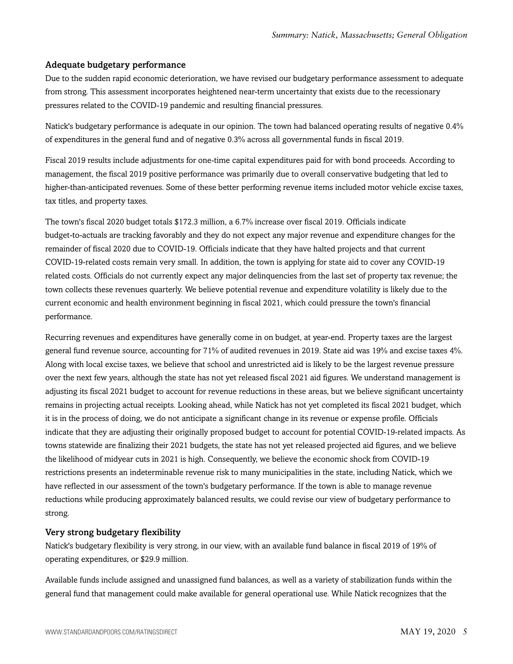#### Adequate budgetary performance

Due to the sudden rapid economic deterioration, we have revised our budgetary performance assessment to adequate from strong. This assessment incorporates heightened near-term uncertainty that exists due to the recessionary pressures related to the COVID-19 pandemic and resulting financial pressures.

Natick's budgetary performance is adequate in our opinion. The town had balanced operating results of negative 0.4% of expenditures in the general fund and of negative 0.3% across all governmental funds in fiscal 2019.

Fiscal 2019 results include adjustments for one-time capital expenditures paid for with bond proceeds. According to management, the fiscal 2019 positive performance was primarily due to overall conservative budgeting that led to higher-than-anticipated revenues. Some of these better performing revenue items included motor vehicle excise taxes, tax titles, and property taxes.

The town's fiscal 2020 budget totals \$172.3 million, a 6.7% increase over fiscal 2019. Officials indicate budget-to-actuals are tracking favorably and they do not expect any major revenue and expenditure changes for the remainder of fiscal 2020 due to COVID-19. Officials indicate that they have halted projects and that current COVID-19-related costs remain very small. In addition, the town is applying for state aid to cover any COVID-19 related costs. Officials do not currently expect any major delinquencies from the last set of property tax revenue; the town collects these revenues quarterly. We believe potential revenue and expenditure volatility is likely due to the current economic and health environment beginning in fiscal 2021, which could pressure the town's financial performance.

Recurring revenues and expenditures have generally come in on budget, at year-end. Property taxes are the largest general fund revenue source, accounting for 71% of audited revenues in 2019. State aid was 19% and excise taxes 4%. Along with local excise taxes, we believe that school and unrestricted aid is likely to be the largest revenue pressure over the next few years, although the state has not yet released fiscal 2021 aid figures. We understand management is adjusting its fiscal 2021 budget to account for revenue reductions in these areas, but we believe significant uncertainty remains in projecting actual receipts. Looking ahead, while Natick has not yet completed its fiscal 2021 budget, which it is in the process of doing, we do not anticipate a significant change in its revenue or expense profile. Officials indicate that they are adjusting their originally proposed budget to account for potential COVID-19-related impacts. As towns statewide are finalizing their 2021 budgets, the state has not yet released projected aid figures, and we believe the likelihood of midyear cuts in 2021 is high. Consequently, we believe the economic shock from COVID-19 restrictions presents an indeterminable revenue risk to many municipalities in the state, including Natick, which we have reflected in our assessment of the town's budgetary performance. If the town is able to manage revenue reductions while producing approximately balanced results, we could revise our view of budgetary performance to strong.

#### Very strong budgetary flexibility

Natick's budgetary flexibility is very strong, in our view, with an available fund balance in fiscal 2019 of 19% of operating expenditures, or \$29.9 million.

Available funds include assigned and unassigned fund balances, as well as a variety of stabilization funds within the general fund that management could make available for general operational use. While Natick recognizes that the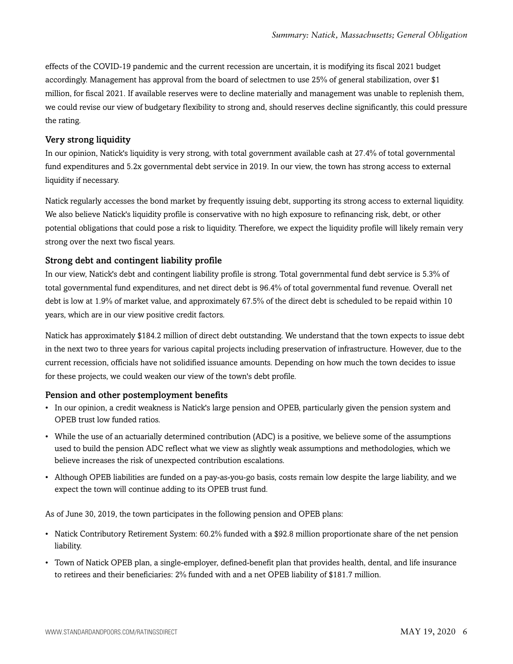effects of the COVID-19 pandemic and the current recession are uncertain, it is modifying its fiscal 2021 budget accordingly. Management has approval from the board of selectmen to use 25% of general stabilization, over \$1 million, for fiscal 2021. If available reserves were to decline materially and management was unable to replenish them, we could revise our view of budgetary flexibility to strong and, should reserves decline significantly, this could pressure the rating.

#### Very strong liquidity

In our opinion, Natick's liquidity is very strong, with total government available cash at 27.4% of total governmental fund expenditures and 5.2x governmental debt service in 2019. In our view, the town has strong access to external liquidity if necessary.

Natick regularly accesses the bond market by frequently issuing debt, supporting its strong access to external liquidity. We also believe Natick's liquidity profile is conservative with no high exposure to refinancing risk, debt, or other potential obligations that could pose a risk to liquidity. Therefore, we expect the liquidity profile will likely remain very strong over the next two fiscal years.

#### Strong debt and contingent liability profile

In our view, Natick's debt and contingent liability profile is strong. Total governmental fund debt service is 5.3% of total governmental fund expenditures, and net direct debt is 96.4% of total governmental fund revenue. Overall net debt is low at 1.9% of market value, and approximately 67.5% of the direct debt is scheduled to be repaid within 10 years, which are in our view positive credit factors.

Natick has approximately \$184.2 million of direct debt outstanding. We understand that the town expects to issue debt in the next two to three years for various capital projects including preservation of infrastructure. However, due to the current recession, officials have not solidified issuance amounts. Depending on how much the town decides to issue for these projects, we could weaken our view of the town's debt profile.

#### Pension and other postemployment benefits

- In our opinion, a credit weakness is Natick's large pension and OPEB, particularly given the pension system and OPEB trust low funded ratios.
- While the use of an actuarially determined contribution (ADC) is a positive, we believe some of the assumptions used to build the pension ADC reflect what we view as slightly weak assumptions and methodologies, which we believe increases the risk of unexpected contribution escalations.
- Although OPEB liabilities are funded on a pay-as-you-go basis, costs remain low despite the large liability, and we expect the town will continue adding to its OPEB trust fund.

As of June 30, 2019, the town participates in the following pension and OPEB plans:

- Natick Contributory Retirement System: 60.2% funded with a \$92.8 million proportionate share of the net pension liability.
- Town of Natick OPEB plan, a single-employer, defined-benefit plan that provides health, dental, and life insurance to retirees and their beneficiaries: 2% funded with and a net OPEB liability of \$181.7 million.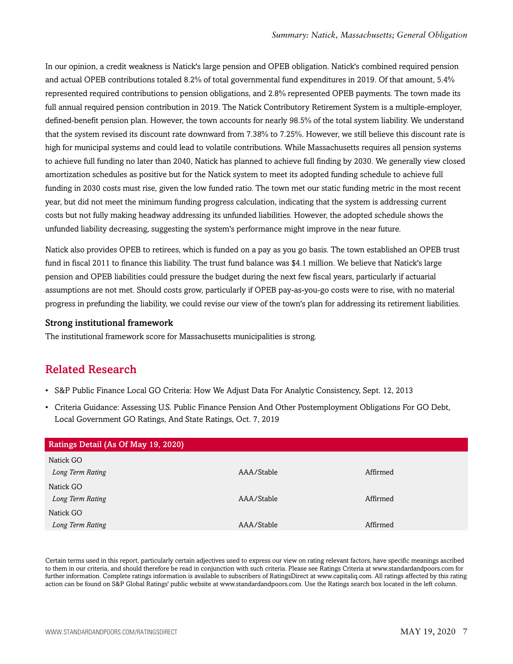In our opinion, a credit weakness is Natick's large pension and OPEB obligation. Natick's combined required pension and actual OPEB contributions totaled 8.2% of total governmental fund expenditures in 2019. Of that amount, 5.4% represented required contributions to pension obligations, and 2.8% represented OPEB payments. The town made its full annual required pension contribution in 2019. The Natick Contributory Retirement System is a multiple-employer, defined-benefit pension plan. However, the town accounts for nearly 98.5% of the total system liability. We understand that the system revised its discount rate downward from 7.38% to 7.25%. However, we still believe this discount rate is high for municipal systems and could lead to volatile contributions. While Massachusetts requires all pension systems to achieve full funding no later than 2040, Natick has planned to achieve full finding by 2030. We generally view closed amortization schedules as positive but for the Natick system to meet its adopted funding schedule to achieve full funding in 2030 costs must rise, given the low funded ratio. The town met our static funding metric in the most recent year, but did not meet the minimum funding progress calculation, indicating that the system is addressing current costs but not fully making headway addressing its unfunded liabilities. However, the adopted schedule shows the unfunded liability decreasing, suggesting the system's performance might improve in the near future.

Natick also provides OPEB to retirees, which is funded on a pay as you go basis. The town established an OPEB trust fund in fiscal 2011 to finance this liability. The trust fund balance was \$4.1 million. We believe that Natick's large pension and OPEB liabilities could pressure the budget during the next few fiscal years, particularly if actuarial assumptions are not met. Should costs grow, particularly if OPEB pay-as-you-go costs were to rise, with no material progress in prefunding the liability, we could revise our view of the town's plan for addressing its retirement liabilities.

#### Strong institutional framework

<span id="page-6-0"></span>The institutional framework score for Massachusetts municipalities is strong.

# Related Research

- S&P Public Finance Local GO Criteria: How We Adjust Data For Analytic Consistency, Sept. 12, 2013
- Criteria Guidance: Assessing U.S. Public Finance Pension And Other Postemployment Obligations For GO Debt, Local Government GO Ratings, And State Ratings, Oct. 7, 2019

| Ratings Detail (As Of May 19, 2020) |            |          |
|-------------------------------------|------------|----------|
| Natick GO                           |            |          |
| Long Term Rating                    | AAA/Stable | Affirmed |
| Natick GO                           |            |          |
| Long Term Rating                    | AAA/Stable | Affirmed |
| Natick GO                           |            |          |
| Long Term Rating                    | AAA/Stable | Affirmed |

Certain terms used in this report, particularly certain adjectives used to express our view on rating relevant factors, have specific meanings ascribed to them in our criteria, and should therefore be read in conjunction with such criteria. Please see Ratings Criteria at www.standardandpoors.com for further information. Complete ratings information is available to subscribers of RatingsDirect at www.capitaliq.com. All ratings affected by this rating action can be found on S&P Global Ratings' public website at www.standardandpoors.com. Use the Ratings search box located in the left column.